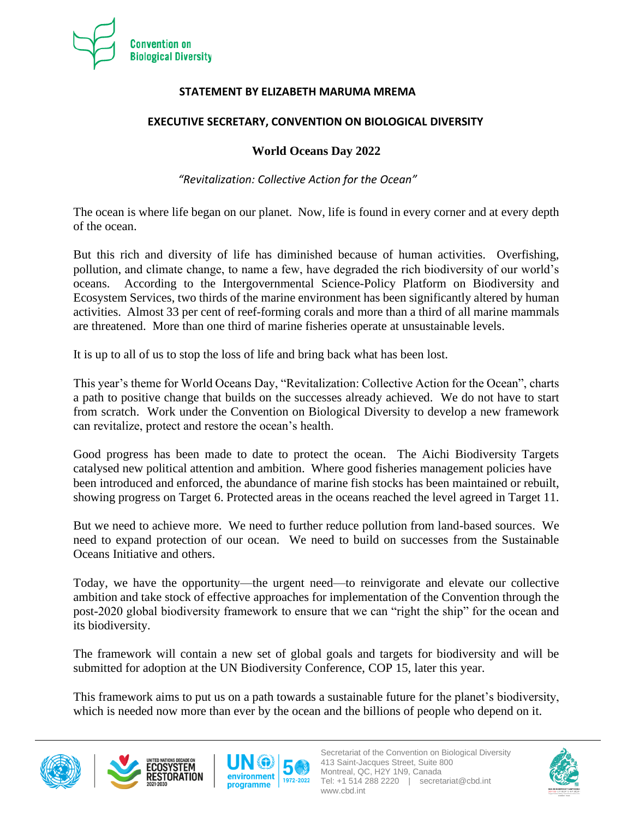

## **STATEMENT BY ELIZABETH MARUMA MREMA**

## **EXECUTIVE SECRETARY, CONVENTION ON BIOLOGICAL DIVERSITY**

## **World Oceans Day 2022**

*"Revitalization: Collective Action for the Ocean"*

The ocean is where life began on our planet. Now, life is found in every corner and at every depth of the ocean.

But this rich and diversity of life has diminished because of human activities. Overfishing, pollution, and climate change, to name a few, have degraded the rich biodiversity of our world's oceans. According to the Intergovernmental Science-Policy Platform on Biodiversity and Ecosystem Services, two thirds of the marine environment has been significantly altered by human activities. Almost 33 per cent of reef-forming corals and more than a third of all marine mammals are threatened. More than one third of marine fisheries operate at unsustainable levels.

It is up to all of us to stop the loss of life and bring back what has been lost.

This year's theme for World Oceans Day, "Revitalization: Collective Action for the Ocean", charts a path to positive change that builds on the successes already achieved. We do not have to start from scratch. Work under the Convention on Biological Diversity to develop a new framework can revitalize, protect and restore the ocean's health.

Good progress has been made to date to protect the ocean. The Aichi Biodiversity Targets catalysed new political attention and ambition. Where good fisheries management policies have been introduced and enforced, the abundance of marine fish stocks has been maintained or rebuilt, showing progress on Target 6. Protected areas in the oceans reached the level agreed in Target 11.

But we need to achieve more. We need to further reduce pollution from land-based sources. We need to expand protection of our ocean. We need to build on successes from the Sustainable Oceans Initiative and others.

Today, we have the opportunity—the urgent need—to reinvigorate and elevate our collective ambition and take stock of effective approaches for implementation of the Convention through the post-2020 global biodiversity framework to ensure that we can "right the ship" for the ocean and its biodiversity.

The framework will contain a new set of global goals and targets for biodiversity and will be submitted for adoption at the UN Biodiversity Conference, COP 15, later this year.

This framework aims to put us on a path towards a sustainable future for the planet's biodiversity, which is needed now more than ever by the ocean and the billions of people who depend on it.